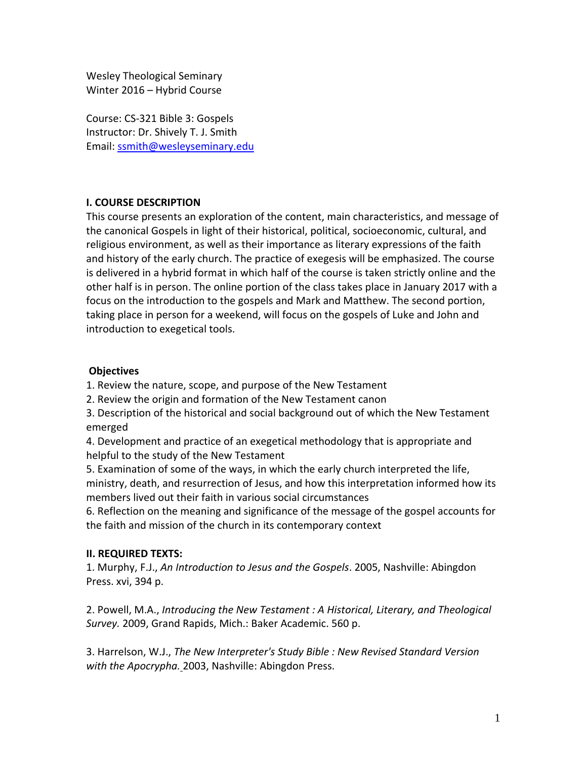Wesley Theological Seminary Winter 2016 – Hybrid Course

Course: CS‐321 Bible 3: Gospels Instructor: Dr. Shively T. J. Smith Email: ssmith@wesleyseminary.edu

#### **I. COURSE DESCRIPTION**

This course presents an exploration of the content, main characteristics, and message of the canonical Gospels in light of their historical, political, socioeconomic, cultural, and religious environment, as well as their importance as literary expressions of the faith and history of the early church. The practice of exegesis will be emphasized. The course is delivered in a hybrid format in which half of the course is taken strictly online and the other half is in person. The online portion of the class takes place in January 2017 with a focus on the introduction to the gospels and Mark and Matthew. The second portion, taking place in person for a weekend, will focus on the gospels of Luke and John and introduction to exegetical tools.

#### **Objectives**

1. Review the nature, scope, and purpose of the New Testament

2. Review the origin and formation of the New Testament canon

3. Description of the historical and social background out of which the New Testament emerged

4. Development and practice of an exegetical methodology that is appropriate and helpful to the study of the New Testament

5. Examination of some of the ways, in which the early church interpreted the life, ministry, death, and resurrection of Jesus, and how this interpretation informed how its members lived out their faith in various social circumstances

6. Reflection on the meaning and significance of the message of the gospel accounts for the faith and mission of the church in its contemporary context

#### **II. REQUIRED TEXTS:**

1. Murphy, F.J., *An Introduction to Jesus and the Gospels*. 2005, Nashville: Abingdon Press. xvi, 394 p.

2. Powell, M.A., *Introducing the New Testament : A Historical, Literary, and Theological Survey.* 2009, Grand Rapids, Mich.: Baker Academic. 560 p.

3. Harrelson, W.J., *The New Interpreter's Study Bible : New Revised Standard Version with the Apocrypha.* 2003, Nashville: Abingdon Press.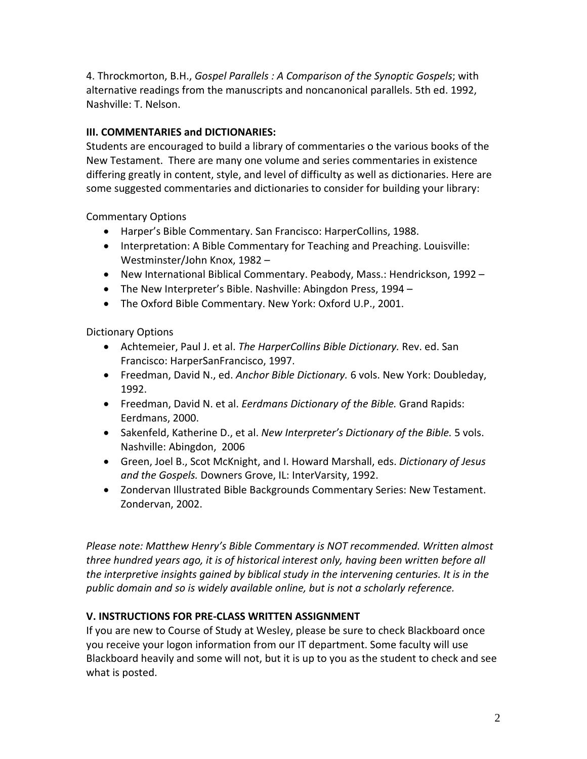4. Throckmorton, B.H., *Gospel Parallels : A Comparison of the Synoptic Gospels*; with alternative readings from the manuscripts and noncanonical parallels. 5th ed. 1992, Nashville: T. Nelson.

## **III. COMMENTARIES and DICTIONARIES:**

Students are encouraged to build a library of commentaries o the various books of the New Testament. There are many one volume and series commentaries in existence differing greatly in content, style, and level of difficulty as well as dictionaries. Here are some suggested commentaries and dictionaries to consider for building your library:

Commentary Options

- Harper's Bible Commentary. San Francisco: HarperCollins, 1988.
- Interpretation: A Bible Commentary for Teaching and Preaching. Louisville: Westminster/John Knox, 1982 –
- New International Biblical Commentary. Peabody, Mass.: Hendrickson, 1992 –
- The New Interpreter's Bible. Nashville: Abingdon Press, 1994 –
- The Oxford Bible Commentary. New York: Oxford U.P., 2001.

Dictionary Options

- Achtemeier, Paul J. et al. *The HarperCollins Bible Dictionary.* Rev. ed. San Francisco: HarperSanFrancisco, 1997.
- Freedman, David N., ed. *Anchor Bible Dictionary.* 6 vols. New York: Doubleday, 1992.
- Freedman, David N. et al. *Eerdmans Dictionary of the Bible.* Grand Rapids: Eerdmans, 2000.
- Sakenfeld, Katherine D., et al. *New Interpreter's Dictionary of the Bible.* 5 vols. Nashville: Abingdon, 2006
- Green, Joel B., Scot McKnight, and I. Howard Marshall, eds. *Dictionary of Jesus and the Gospels.* Downers Grove, IL: InterVarsity, 1992.
- Zondervan Illustrated Bible Backgrounds Commentary Series: New Testament. Zondervan, 2002.

*Please note: Matthew Henry's Bible Commentary is NOT recommended. Written almost three hundred years ago, it is of historical interest only, having been written before all the interpretive insights gained by biblical study in the intervening centuries. It is in the public domain and so is widely available online, but is not a scholarly reference.*

### **V. INSTRUCTIONS FOR PRE‐CLASS WRITTEN ASSIGNMENT**

If you are new to Course of Study at Wesley, please be sure to check Blackboard once you receive your logon information from our IT department. Some faculty will use Blackboard heavily and some will not, but it is up to you as the student to check and see what is posted.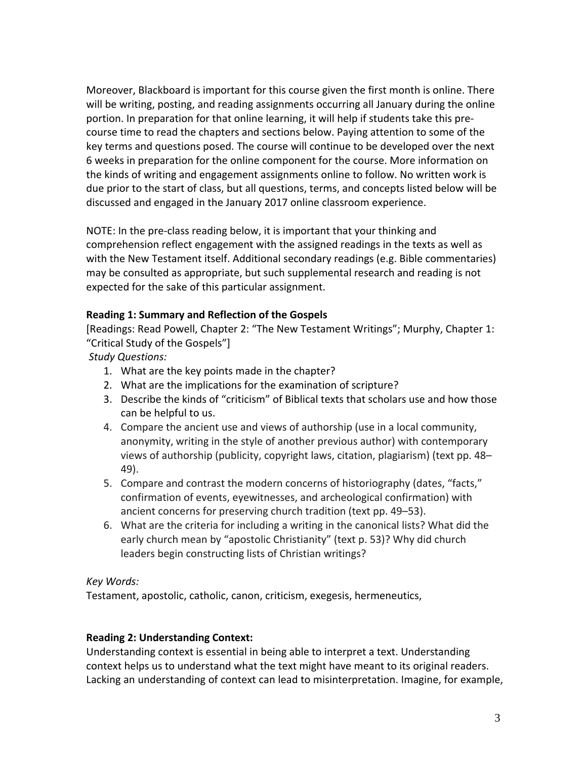Moreover, Blackboard is important for this course given the first month is online. There will be writing, posting, and reading assignments occurring all January during the online portion. In preparation for that online learning, it will help if students take this pre‐ course time to read the chapters and sections below. Paying attention to some of the key terms and questions posed. The course will continue to be developed over the next 6 weeks in preparation for the online component for the course. More information on the kinds of writing and engagement assignments online to follow. No written work is due prior to the start of class, but all questions, terms, and concepts listed below will be discussed and engaged in the January 2017 online classroom experience.

NOTE: In the pre‐class reading below, it is important that your thinking and comprehension reflect engagement with the assigned readings in the texts as well as with the New Testament itself. Additional secondary readings (e.g. Bible commentaries) may be consulted as appropriate, but such supplemental research and reading is not expected for the sake of this particular assignment.

### **Reading 1: Summary and Reflection of the Gospels**

[Readings: Read Powell, Chapter 2: "The New Testament Writings"; Murphy, Chapter 1: "Critical Study of the Gospels"]

*Study Questions:*

- 1. What are the key points made in the chapter?
- 2. What are the implications for the examination of scripture?
- 3. Describe the kinds of "criticism" of Biblical texts that scholars use and how those can be helpful to us.
- 4. Compare the ancient use and views of authorship (use in a local community, anonymity, writing in the style of another previous author) with contemporary views of authorship (publicity, copyright laws, citation, plagiarism) (text pp. 48– 49).
- 5. Compare and contrast the modern concerns of historiography (dates, "facts," confirmation of events, eyewitnesses, and archeological confirmation) with ancient concerns for preserving church tradition (text pp. 49–53).
- 6. What are the criteria for including a writing in the canonical lists? What did the early church mean by "apostolic Christianity" (text p. 53)? Why did church leaders begin constructing lists of Christian writings?

# *Key Words:*

Testament, apostolic, catholic, canon, criticism, exegesis, hermeneutics,

# **Reading 2: Understanding Context:**

Understanding context is essential in being able to interpret a text. Understanding context helps us to understand what the text might have meant to its original readers. Lacking an understanding of context can lead to misinterpretation. Imagine, for example,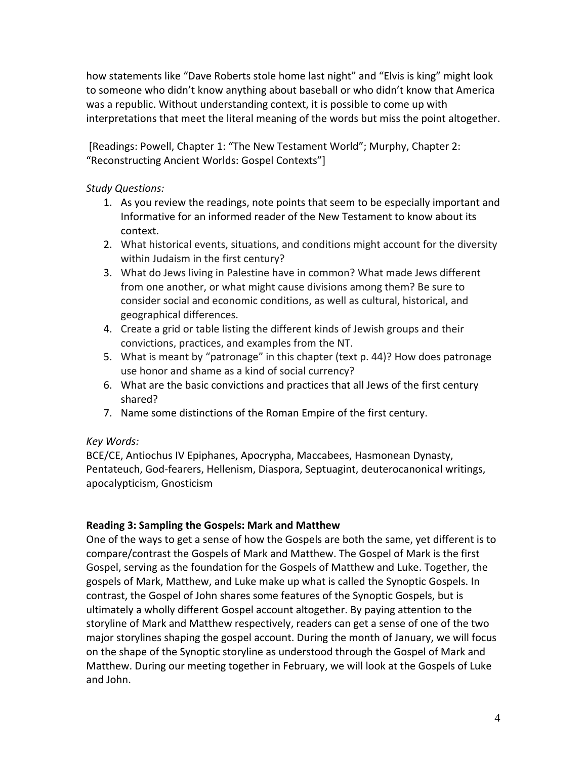how statements like "Dave Roberts stole home last night" and "Elvis is king" might look to someone who didn't know anything about baseball or who didn't know that America was a republic. Without understanding context, it is possible to come up with interpretations that meet the literal meaning of the words but miss the point altogether.

[Readings: Powell, Chapter 1: "The New Testament World"; Murphy, Chapter 2: "Reconstructing Ancient Worlds: Gospel Contexts"]

### *Study Questions:*

- 1. As you review the readings, note points that seem to be especially important and Informative for an informed reader of the New Testament to know about its context.
- 2. What historical events, situations, and conditions might account for the diversity within Judaism in the first century?
- 3. What do Jews living in Palestine have in common? What made Jews different from one another, or what might cause divisions among them? Be sure to consider social and economic conditions, as well as cultural, historical, and geographical differences.
- 4. Create a grid or table listing the different kinds of Jewish groups and their convictions, practices, and examples from the NT.
- 5. What is meant by "patronage" in this chapter (text p. 44)? How does patronage use honor and shame as a kind of social currency?
- 6. What are the basic convictions and practices that all Jews of the first century shared?
- 7. Name some distinctions of the Roman Empire of the first century.

# *Key Words:*

BCE/CE, Antiochus IV Epiphanes, Apocrypha, Maccabees, Hasmonean Dynasty, Pentateuch, God‐fearers, Hellenism, Diaspora, Septuagint, deuterocanonical writings, apocalypticism, Gnosticism

# **Reading 3: Sampling the Gospels: Mark and Matthew**

One of the ways to get a sense of how the Gospels are both the same, yet different is to compare/contrast the Gospels of Mark and Matthew. The Gospel of Mark is the first Gospel, serving as the foundation for the Gospels of Matthew and Luke. Together, the gospels of Mark, Matthew, and Luke make up what is called the Synoptic Gospels. In contrast, the Gospel of John shares some features of the Synoptic Gospels, but is ultimately a wholly different Gospel account altogether. By paying attention to the storyline of Mark and Matthew respectively, readers can get a sense of one of the two major storylines shaping the gospel account. During the month of January, we will focus on the shape of the Synoptic storyline as understood through the Gospel of Mark and Matthew. During our meeting together in February, we will look at the Gospels of Luke and John.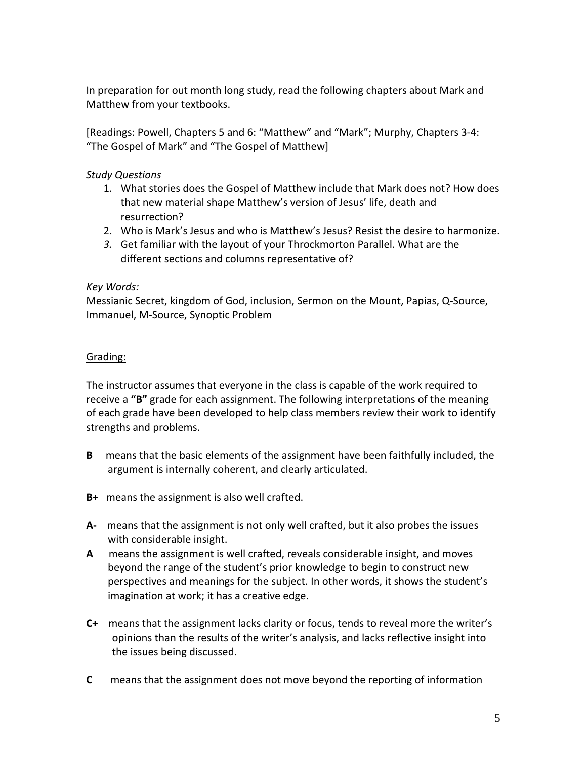In preparation for out month long study, read the following chapters about Mark and Matthew from your textbooks.

[Readings: Powell, Chapters 5 and 6: "Matthew" and "Mark"; Murphy, Chapters 3‐4: "The Gospel of Mark" and "The Gospel of Matthew]

*Study Questions*

- 1. What stories does the Gospel of Matthew include that Mark does not? How does that new material shape Matthew's version of Jesus' life, death and resurrection?
- 2. Who is Mark's Jesus and who is Matthew's Jesus? Resist the desire to harmonize.
- *3.* Get familiar with the layout of your Throckmorton Parallel. What are the different sections and columns representative of?

#### *Key Words:*

Messianic Secret, kingdom of God, inclusion, Sermon on the Mount, Papias, Q‐Source, Immanuel, M‐Source, Synoptic Problem

### Grading:

The instructor assumes that everyone in the class is capable of the work required to receive a **"B"** grade for each assignment. The following interpretations of the meaning of each grade have been developed to help class members review their work to identify strengths and problems.

- **B** means that the basic elements of the assignment have been faithfully included, the argument is internally coherent, and clearly articulated.
- **B+** means the assignment is also well crafted.
- **A‐** means that the assignment is not only well crafted, but it also probes the issues with considerable insight.
- **A** means the assignment is well crafted, reveals considerable insight, and moves beyond the range of the student's prior knowledge to begin to construct new perspectives and meanings for the subject. In other words, it shows the student's imagination at work; it has a creative edge.
- **C+** means that the assignment lacks clarity or focus, tends to reveal more the writer's opinions than the results of the writer's analysis, and lacks reflective insight into the issues being discussed.
- **C** means that the assignment does not move beyond the reporting of information